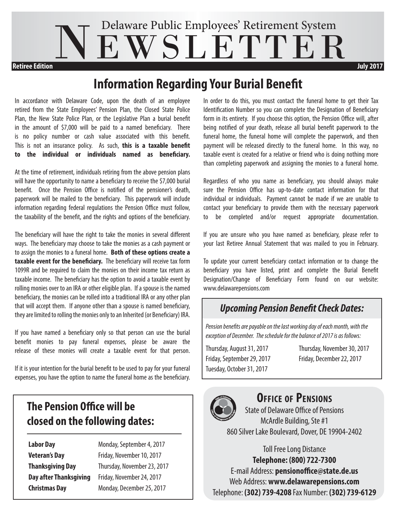# NEWSLETTER Delaware Public Employees' Retirement System **Retiree Edition July 2017**

## **Information Regarding Your Burial Benefit**

In accordance with Delaware Code, upon the death of an employee retired from the State Employees' Pension Plan, the Closed State Police Plan, the New State Police Plan, or the Legislative Plan a burial benefit in the amount of \$7,000 will be paid to a named beneficiary. There is no policy number or cash value associated with this benefit. This is not an insurance policy. As such, **this is a taxable benefit to the individual or individuals named as beneficiary.**

At the time of retirement, individuals retiring from the above pension plans will have the opportunity to name a beneficiary to receive the \$7,000 burial benefit. Once the Pension Office is notified of the pensioner's death, paperwork will be mailed to the beneficiary. This paperwork will include information regarding federal regulations the Pension Office must follow, the taxability of the benefit, and the rights and options of the beneficiary.

The beneficiary will have the right to take the monies in several different ways. The beneficiary may choose to take the monies as a cash payment or to assign the monies to a funeral home. **Both of these options create a taxable event for the beneficiary.** The beneficiary will receive tax form 1099R and be required to claim the monies on their income tax return as taxable income. The beneficiary has the option to avoid a taxable event by rolling monies over to an IRA or other eligible plan. If a spouse is the named beneficiary, the monies can be rolled into a traditional IRA or any other plan that will accept them. If anyone other than a spouse is named beneficiary, they are limited to rolling the monies only to an Inherited (or Beneficiary) IRA.

If you have named a beneficiary only so that person can use the burial benefit monies to pay funeral expenses, please be aware the release of these monies will create a taxable event for that person.

If it is your intention for the burial benefit to be used to pay for your funeral expenses, you have the option to name the funeral home as the beneficiary.

## **The Pension Office will be closed on the following dates:**

**Labor Day Monday, September 4, 2017 Veteran's Day Friday, November 10, 2017 Thanksgiving Day** Thursday, November 23, 2017 **Day after Thanksgiving** Friday, November 24, 2017 **Christmas Day** Monday, December 25, 2017

In order to do this, you must contact the funeral home to get their Tax Identification Number so you can complete the Designation of Beneficiary form in its entirety. If you choose this option, the Pension Office will, after being notified of your death, release all burial benefit paperwork to the funeral home, the funeral home will complete the paperwork, and then payment will be released directly to the funeral home. In this way, no taxable event is created for a relative or friend who is doing nothing more than completing paperwork and assigning the monies to a funeral home.

Regardless of who you name as beneficiary, you should always make sure the Pension Office has up-to-date contact information for that individual or individuals. Payment cannot be made if we are unable to contact your beneficiary to provide them with the necessary paperwork to be completed and/or request appropriate documentation.

If you are unsure who you have named as beneficiary, please refer to your last Retiree Annual Statement that was mailed to you in February.

To update your current beneficiary contact information or to change the beneficiary you have listed, print and complete the Burial Benefit Designation/Change of Beneficiary Form found on our website: www.delawarepensions.com

## *Upcoming Pension Benefit Check Dates:*

*Pension benefits are payable on the last working day of each month, with the exception of December. The schedule for the balance of 2017 is as follows:*

Friday, September 29, 2017 Friday, December 22, 2017 Tuesday, October 31, 2017

Thursday, August 31, 2017 Thursday, November 30, 2017



## **Office of Pensions**

State of Delaware Office of Pensions McArdle Building, Ste #1 860 Silver Lake Boulevard, Dover, DE 19904-2402

Toll Free Long Distance **Telephone: (800) 722-7300** E-mail Address: **pensionoffice@state.de.us** Web Address: **www.delawarepensions.com** Telephone: **(302) 739-4208** Fax Number: **(302) 739-6129**